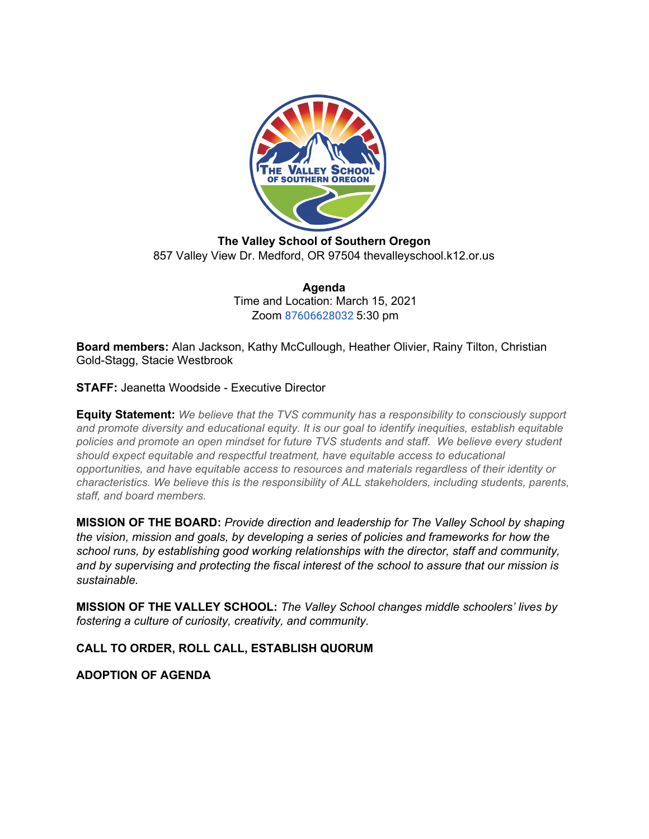

**The Valley School of Southern Oregon** 857 Valley View Dr. Medford, OR 97504 thevalleyschool.k12.or.us

> **Agenda** Time and Location: March 15, 2021 Zoom [87606628032](https://us02web.zoom.us/j/87606628032) 5:30 pm

**Board members:** Alan Jackson, Kathy McCullough, Heather Olivier, Rainy Tilton, Christian Gold-Stagg, Stacie Westbrook

**STAFF:** Jeanetta Woodside - Executive Director

**Equity Statement:** *We believe that the TVS community has a responsibility to consciously support and promote diversity and educational equity. It is our goal to identify inequities, establish equitable policies and promote an open mindset for future TVS students and staff. We believe every student should expect equitable and respectful treatment, have equitable access to educational opportunities, and have equitable access to resources and materials regardless of their identity or characteristics. We believe this is the responsibility of ALL stakeholders, including students, parents, staff, and board members.*

**MISSION OF THE BOARD:** *Provide direction and leadership for The Valley School by shaping the vision, mission and goals, by developing a series of policies and frameworks for how the school runs, by establishing good working relationships with the director, staff and community, and by supervising and protecting the fiscal interest of the school to assure that our mission is sustainable.*

**MISSION OF THE VALLEY SCHOOL:** *The Valley School changes middle schoolers' lives by fostering a culture of curiosity, creativity, and community.*

**CALL TO ORDER, ROLL CALL, ESTABLISH QUORUM**

**ADOPTION OF AGENDA**